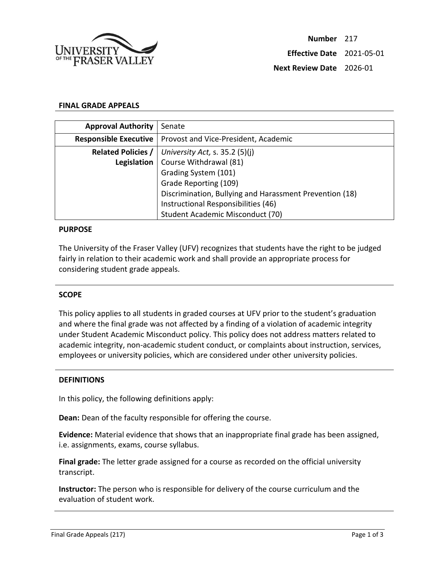

### **FINAL GRADE APPEALS**

| <b>Approval Authority</b>    | Senate                                                  |
|------------------------------|---------------------------------------------------------|
| <b>Responsible Executive</b> | Provost and Vice-President, Academic                    |
| <b>Related Policies /</b>    | University Act, s. $35.2$ (5)(j)                        |
| Legislation                  | Course Withdrawal (81)                                  |
|                              | Grading System (101)                                    |
|                              | Grade Reporting (109)                                   |
|                              | Discrimination, Bullying and Harassment Prevention (18) |
|                              | Instructional Responsibilities (46)                     |
|                              | Student Academic Misconduct (70)                        |

#### **PURPOSE**

The University of the Fraser Valley (UFV) recognizes that students have the right to be judged fairly in relation to their academic work and shall provide an appropriate process for considering student grade appeals.

#### **SCOPE**

This policy applies to all students in graded courses at UFV prior to the student's graduation and where the final grade was not affected by a finding of a violation of academic integrity under Student Academic Misconduct policy. This policy does not address matters related to academic integrity, non-academic student conduct, or complaints about instruction, services, employees or university policies, which are considered under other university policies.

### **DEFINITIONS**

In this policy, the following definitions apply:

**Dean:** Dean of the faculty responsible for offering the course.

**Evidence:** Material evidence that shows that an inappropriate final grade has been assigned, i.e. assignments, exams, course syllabus.

**Final grade:** The letter grade assigned for a course as recorded on the official university transcript.

**Instructor:** The person who is responsible for delivery of the course curriculum and the evaluation of student work.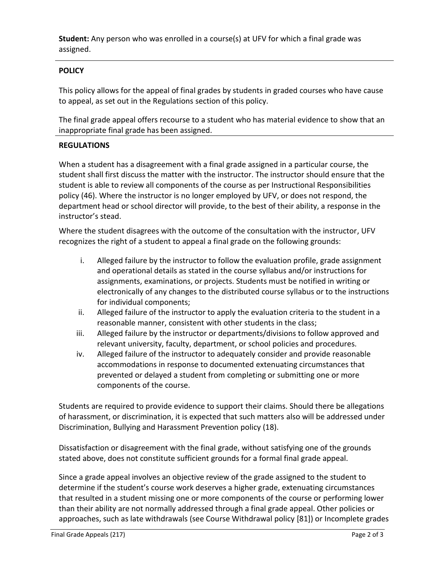**Student:** Any person who was enrolled in a course(s) at UFV for which a final grade was assigned.

# **POLICY**

This policy allows for the appeal of final grades by students in graded courses who have cause to appeal, as set out in the Regulations section of this policy.

The final grade appeal offers recourse to a student who has material evidence to show that an inappropriate final grade has been assigned.

## **REGULATIONS**

When a student has a disagreement with a final grade assigned in a particular course, the student shall first discuss the matter with the instructor. The instructor should ensure that the student is able to review all components of the course as per Instructional Responsibilities policy (46). Where the instructor is no longer employed by UFV, or does not respond, the department head or school director will provide, to the best of their ability, a response in the instructor's stead.

Where the student disagrees with the outcome of the consultation with the instructor, UFV recognizes the right of a student to appeal a final grade on the following grounds:

- i. Alleged failure by the instructor to follow the evaluation profile, grade assignment and operational details as stated in the course syllabus and/or instructions for assignments, examinations, or projects. Students must be notified in writing or electronically of any changes to the distributed course syllabus or to the instructions for individual components;
- ii. Alleged failure of the instructor to apply the evaluation criteria to the student in a reasonable manner, consistent with other students in the class;
- iii. Alleged failure by the instructor or departments/divisions to follow approved and relevant university, faculty, department, or school policies and procedures.
- iv. Alleged failure of the instructor to adequately consider and provide reasonable accommodations in response to documented extenuating circumstances that prevented or delayed a student from completing or submitting one or more components of the course.

Students are required to provide evidence to support their claims. Should there be allegations of harassment, or discrimination, it is expected that such matters also will be addressed under Discrimination, Bullying and Harassment Prevention policy (18).

Dissatisfaction or disagreement with the final grade, without satisfying one of the grounds stated above, does not constitute sufficient grounds for a formal final grade appeal.

Since a grade appeal involves an objective review of the grade assigned to the student to determine if the student's course work deserves a higher grade, extenuating circumstances that resulted in a student missing one or more components of the course or performing lower than their ability are not normally addressed through a final grade appeal. Other policies or approaches, such as late withdrawals (see Course Withdrawal policy [81]) or Incomplete grades